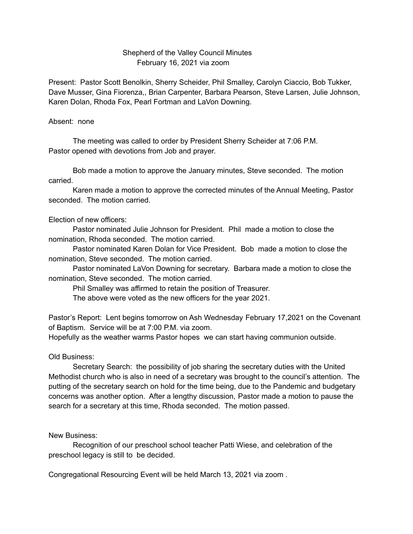## Shepherd of the Valley Council Minutes February 16, 2021 via zoom

Present: Pastor Scott Benolkin, Sherry Scheider, Phil Smalley, Carolyn Ciaccio, Bob Tukker, Dave Musser, Gina Fiorenza,, Brian Carpenter, Barbara Pearson, Steve Larsen, Julie Johnson, Karen Dolan, Rhoda Fox, Pearl Fortman and LaVon Downing.

## Absent: none

The meeting was called to order by President Sherry Scheider at 7:06 P.M. Pastor opened with devotions from Job and prayer.

Bob made a motion to approve the January minutes, Steve seconded. The motion carried.

Karen made a motion to approve the corrected minutes of the Annual Meeting, Pastor seconded. The motion carried.

## Election of new officers:

Pastor nominated Julie Johnson for President. Phil made a motion to close the nomination, Rhoda seconded. The motion carried.

Pastor nominated Karen Dolan for Vice President. Bob made a motion to close the nomination, Steve seconded. The motion carried.

Pastor nominated LaVon Downing for secretary. Barbara made a motion to close the nomination, Steve seconded. The motion carried.

Phil Smalley was affirmed to retain the position of Treasurer.

The above were voted as the new officers for the year 2021.

Pastor's Report: Lent begins tomorrow on Ash Wednesday February 17,2021 on the Covenant of Baptism. Service will be at 7:00 P.M. via zoom.

Hopefully as the weather warms Pastor hopes we can start having communion outside.

## Old Business:

Secretary Search: the possibility of job sharing the secretary duties with the United Methodist church who is also in need of a secretary was brought to the council's attention. The putting of the secretary search on hold for the time being, due to the Pandemic and budgetary concerns was another option. After a lengthy discussion, Pastor made a motion to pause the search for a secretary at this time, Rhoda seconded. The motion passed.

New Business:

Recognition of our preschool school teacher Patti Wiese, and celebration of the preschool legacy is still to be decided.

Congregational Resourcing Event will be held March 13, 2021 via zoom .